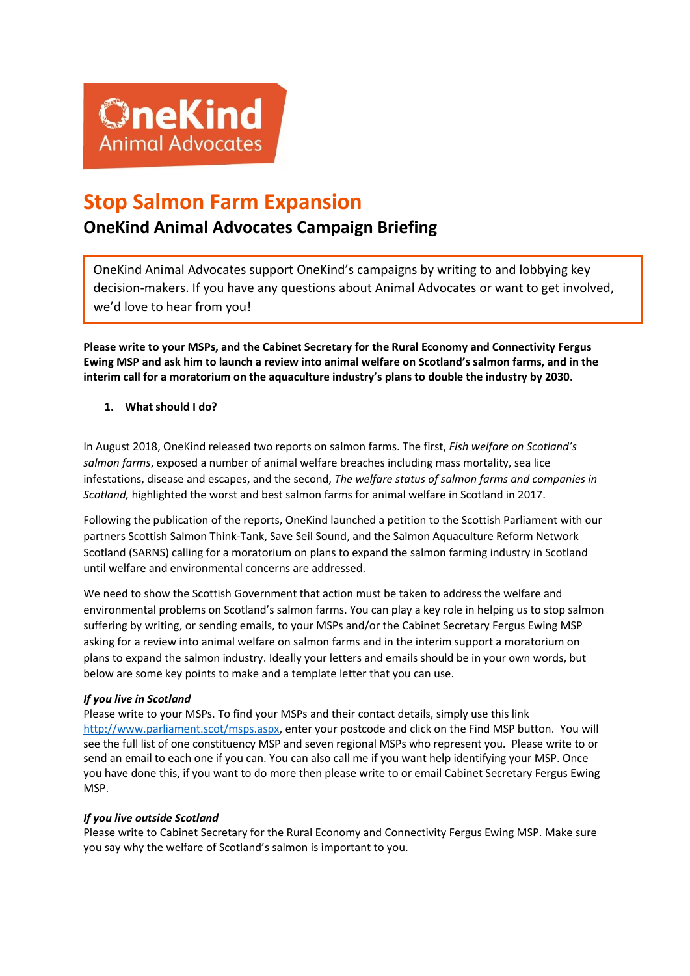

# **Stop Salmon Farm Expansion**

## **OneKind Animal Advocates Campaign Briefing**

OneKind Animal Advocates support OneKind's campaigns by writing to and lobbying key decision-makers. If you have any questions about Animal Advocates or want to get involved, we'd love to hear from you!

**Please write to your MSPs, and the Cabinet Secretary for the Rural Economy and Connectivity Fergus Ewing MSP and ask him to launch a review into animal welfare on Scotland's salmon farms, and in the interim call for a moratorium on the aquaculture industry's plans to double the industry by 2030.** 

**1. What should I do?**

In August 2018, OneKind released two reports on salmon farms. The first, *Fish welfare on Scotland's salmon farms*, exposed a number of animal welfare breaches including mass mortality, sea lice infestations, disease and escapes, and the second, *The welfare status of salmon farms and companies in Scotland,* highlighted the worst and best salmon farms for animal welfare in Scotland in 2017.

Following the publication of the reports, OneKind launched a petition to the Scottish Parliament with our partners Scottish Salmon Think-Tank, Save Seil Sound, and the Salmon Aquaculture Reform Network Scotland (SARNS) calling for a moratorium on plans to expand the salmon farming industry in Scotland until welfare and environmental concerns are addressed.

We need to show the Scottish Government that action must be taken to address the welfare and environmental problems on Scotland's salmon farms. You can play a key role in helping us to stop salmon suffering by writing, or sending emails, to your MSPs and/or the Cabinet Secretary Fergus Ewing MSP asking for a review into animal welfare on salmon farms and in the interim support a moratorium on plans to expand the salmon industry. Ideally your letters and emails should be in your own words, but below are some key points to make and a template letter that you can use.

### *If you live in Scotland*

Please write to your MSPs. To find your MSPs and their contact details, simply use this link [http://www.parliament.scot/msps.aspx,](http://www.parliament.scot/msps.aspx) enter your postcode and click on the Find MSP button. You will see the full list of one constituency MSP and seven regional MSPs who represent you. Please write to or send an email to each one if you can. You can also call me if you want help identifying your MSP. Once you have done this, if you want to do more then please write to or email Cabinet Secretary Fergus Ewing MSP.

### *If you live outside Scotland*

Please write to Cabinet Secretary for the Rural Economy and Connectivity Fergus Ewing MSP. Make sure you say why the welfare of Scotland's salmon is important to you.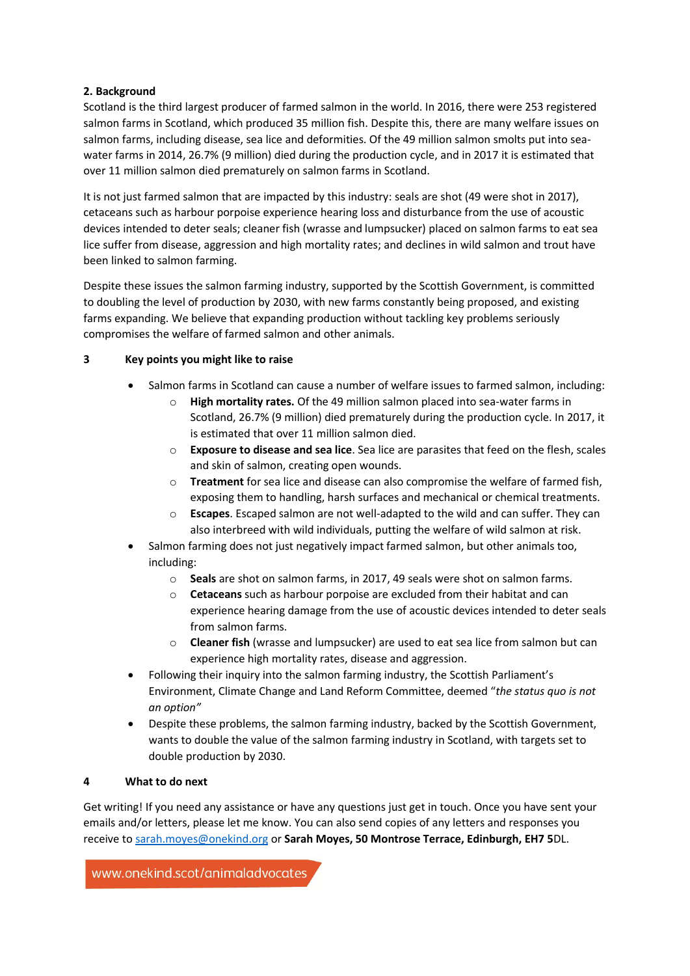#### **2. Background**

Scotland is the third largest producer of farmed salmon in the world. In 2016, there were 253 registered salmon farms in Scotland, which produced 35 million fish. Despite this, there are many welfare issues on salmon farms, including disease, sea lice and deformities. Of the 49 million salmon smolts put into seawater farms in 2014, 26.7% (9 million) died during the production cycle, and in 2017 it is estimated that over 11 million salmon died prematurely on salmon farms in Scotland.

It is not just farmed salmon that are impacted by this industry: seals are shot (49 were shot in 2017), cetaceans such as harbour porpoise experience hearing loss and disturbance from the use of acoustic devices intended to deter seals; cleaner fish (wrasse and lumpsucker) placed on salmon farms to eat sea lice suffer from disease, aggression and high mortality rates; and declines in wild salmon and trout have been linked to salmon farming.

Despite these issues the salmon farming industry, supported by the Scottish Government, is committed to doubling the level of production by 2030, with new farms constantly being proposed, and existing farms expanding. We believe that expanding production without tackling key problems seriously compromises the welfare of farmed salmon and other animals.

#### **3 Key points you might like to raise**

- Salmon farms in Scotland can cause a number of welfare issues to farmed salmon, including:
	- o **High mortality rates.** Of the 49 million salmon placed into sea-water farms in Scotland, 26.7% (9 million) died prematurely during the production cycle. In 2017, it is estimated that over 11 million salmon died.
	- o **Exposure to disease and sea lice**. Sea lice are parasites that feed on the flesh, scales and skin of salmon, creating open wounds.
	- o **Treatment** for sea lice and disease can also compromise the welfare of farmed fish, exposing them to handling, harsh surfaces and mechanical or chemical treatments.
	- o **Escapes**. Escaped salmon are not well-adapted to the wild and can suffer. They can also interbreed with wild individuals, putting the welfare of wild salmon at risk.
- Salmon farming does not just negatively impact farmed salmon, but other animals too, including:
	- o **Seals** are shot on salmon farms, in 2017, 49 seals were shot on salmon farms.
	- o **Cetaceans** such as harbour porpoise are excluded from their habitat and can experience hearing damage from the use of acoustic devices intended to deter seals from salmon farms.
	- o **Cleaner fish** (wrasse and lumpsucker) are used to eat sea lice from salmon but can experience high mortality rates, disease and aggression.
- Following their inquiry into the salmon farming industry, the Scottish Parliament's Environment, Climate Change and Land Reform Committee, deemed "*the status quo is not an option"*
- Despite these problems, the salmon farming industry, backed by the Scottish Government, wants to double the value of the salmon farming industry in Scotland, with targets set to double production by 2030.

#### **4 What to do next**

Get writing! If you need any assistance or have any questions just get in touch. Once you have sent your emails and/or letters, please let me know. You can also send copies of any letters and responses you receive t[o sarah.moyes@onekind.org](mailto:sarah.moyes@onekind.org) or **Sarah Moyes, 50 Montrose Terrace, Edinburgh, EH7 5**DL.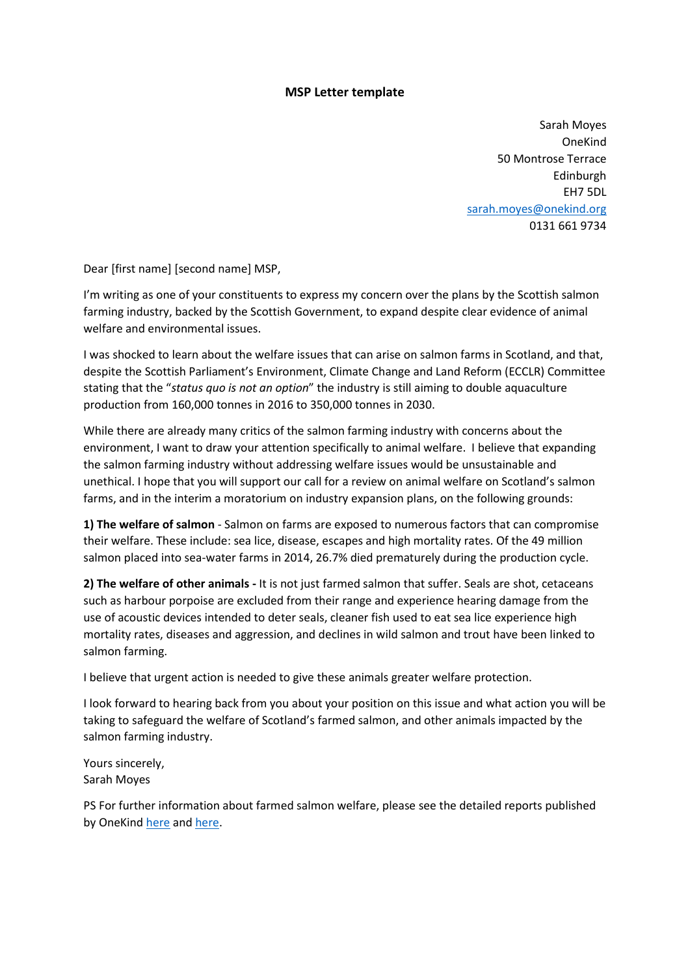#### **MSP Letter template**

Sarah Moyes OneKind 50 Montrose Terrace Edinburgh EH7 5DL [sarah.moyes@onekind.org](mailto:Sarah.moyes@hotmail.co.uk)  0131 661 9734

Dear [first name] [second name] MSP,

I'm writing as one of your constituents to express my concern over the plans by the Scottish salmon farming industry, backed by the Scottish Government, to expand despite clear evidence of animal welfare and environmental issues.

I was shocked to learn about the welfare issues that can arise on salmon farms in Scotland, and that, despite the Scottish Parliament's Environment, Climate Change and Land Reform (ECCLR) Committee stating that the "*status quo is not an option*" the industry is still aiming to double aquaculture production from 160,000 tonnes in 2016 to 350,000 tonnes in 2030.

While there are already many critics of the salmon farming industry with concerns about the environment, I want to draw your attention specifically to animal welfare. I believe that expanding the salmon farming industry without addressing welfare issues would be unsustainable and unethical. I hope that you will support our call for a review on animal welfare on Scotland's salmon farms, and in the interim a moratorium on industry expansion plans, on the following grounds:

**1) The welfare of salmon** - Salmon on farms are exposed to numerous factors that can compromise their welfare. These include: sea lice, disease, escapes and high mortality rates. Of the 49 million salmon placed into sea-water farms in 2014, 26.7% died prematurely during the production cycle.

**2) The welfare of other animals -** It is not just farmed salmon that suffer. Seals are shot, cetaceans such as harbour porpoise are excluded from their range and experience hearing damage from the use of acoustic devices intended to deter seals, cleaner fish used to eat sea lice experience high mortality rates, diseases and aggression, and declines in wild salmon and trout have been linked to salmon farming.

I believe that urgent action is needed to give these animals greater welfare protection.

I look forward to hearing back from you about your position on this issue and what action you will be taking to safeguard the welfare of Scotland's farmed salmon, and other animals impacted by the salmon farming industry.

Yours sincerely, Sarah Moyes

PS For further information about farmed salmon welfare, please see the detailed reports published by OneKind [here](https://www.onekind.scot/resources/fish-welfare-on-scotlands-salmon-farms/) an[d here.](https://www.onekind.scot/resources/the-welfare-status-of-salmon-farms-and-companies-in-scotland-report/)